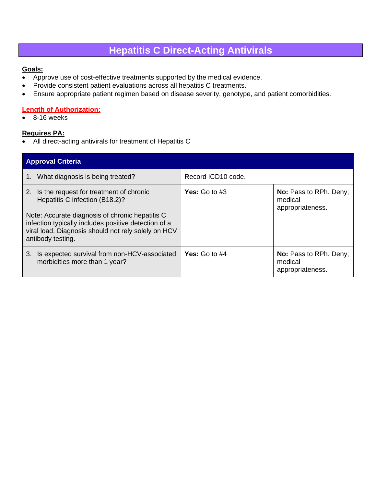# **Hepatitis C Direct-Acting Antivirals**

### **Goals:**

- Approve use of cost-effective treatments supported by the medical evidence.
- Provide consistent patient evaluations across all hepatitis C treatments.
- Ensure appropriate patient regimen based on disease severity, genotype, and patient comorbidities.

# **Length of Authorization:**

• 8-16 weeks

#### **Requires PA:**

• All direct-acting antivirals for treatment of Hepatitis C

| <b>Approval Criteria</b>                                                                                                                                                                                                                                            |                    |                                                              |
|---------------------------------------------------------------------------------------------------------------------------------------------------------------------------------------------------------------------------------------------------------------------|--------------------|--------------------------------------------------------------|
| 1. What diagnosis is being treated?                                                                                                                                                                                                                                 | Record ICD10 code. |                                                              |
| 2. Is the request for treatment of chronic<br>Hepatitis C infection (B18.2)?<br>Note: Accurate diagnosis of chronic hepatitis C<br>infection typically includes positive detection of a<br>viral load. Diagnosis should not rely solely on HCV<br>antibody testing. | Yes: Go to $#3$    | <b>No:</b> Pass to RPh. Deny;<br>medical<br>appropriateness. |
| 3. Is expected survival from non-HCV-associated<br>morbidities more than 1 year?                                                                                                                                                                                    | Yes: Go to $#4$    | <b>No:</b> Pass to RPh. Deny;<br>medical<br>appropriateness. |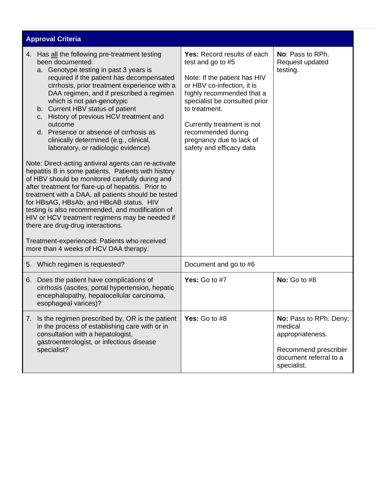| <b>Approval Criteria</b>                                                                                                                                                                                                                                                                                                                                                                                                                                                                                              |                                                                                                                                                                                                                                                                                                           |                                                                                                                        |
|-----------------------------------------------------------------------------------------------------------------------------------------------------------------------------------------------------------------------------------------------------------------------------------------------------------------------------------------------------------------------------------------------------------------------------------------------------------------------------------------------------------------------|-----------------------------------------------------------------------------------------------------------------------------------------------------------------------------------------------------------------------------------------------------------------------------------------------------------|------------------------------------------------------------------------------------------------------------------------|
| 4. Has all the following pre-treatment testing<br>been documented:<br>a. Genotype testing in past 3 years is<br>required if the patient has decompensated<br>cirrhosis, prior treatment experience with a<br>DAA regimen, and if prescribed a regimen<br>which is not pan-genotypic<br>b. Current HBV status of patient<br>History of previous HCV treatment and<br>$C_{\rm L}$<br>outcome<br>d. Presence or absence of cirrhosis as<br>clinically determined (e.g., clinical,<br>laboratory, or radiologic evidence) | Yes: Record results of each<br>test and go to #5<br>Note: If the patient has HIV<br>or HBV co-infection, it is<br>highly recommended that a<br>specialist be consulted prior<br>to treatment.<br>Currently treatment is not<br>recommended during<br>pregnancy due to lack of<br>safety and efficacy data | No: Pass to RPh.<br>Request updated<br>testing.                                                                        |
| Note: Direct-acting antiviral agents can re-activate<br>hepatitis B in some patients. Patients with history<br>of HBV should be monitored carefully during and<br>after treatment for flare-up of hepatitis. Prior to<br>treatment with a DAA, all patients should be tested<br>for HBsAG, HBsAb, and HBcAB status. HIV<br>testing is also recommended, and modification of<br>HIV or HCV treatment regimens may be needed if<br>there are drug-drug interactions.                                                    |                                                                                                                                                                                                                                                                                                           |                                                                                                                        |
| Treatment-experienced: Patients who received<br>more than 4 weeks of HCV DAA therapy.                                                                                                                                                                                                                                                                                                                                                                                                                                 |                                                                                                                                                                                                                                                                                                           |                                                                                                                        |
| 5. Which regimen is requested?                                                                                                                                                                                                                                                                                                                                                                                                                                                                                        | Document and go to #6                                                                                                                                                                                                                                                                                     |                                                                                                                        |
| Does the patient have complications of<br>6.<br>cirrhosis (ascites, portal hypertension, hepatic<br>encephalopathy, hepatocellular carcinoma,<br>esophageal varices)?                                                                                                                                                                                                                                                                                                                                                 | Yes: Go to #7                                                                                                                                                                                                                                                                                             | No: Go to $#8$                                                                                                         |
| 7. Is the regimen prescribed by, OR is the patient<br>in the process of establishing care with or in<br>consultation with a hepatologist,<br>gastroenterologist, or infectious disease<br>specialist?                                                                                                                                                                                                                                                                                                                 | Yes: Go to $#8$                                                                                                                                                                                                                                                                                           | No: Pass to RPh. Deny;<br>medical<br>appropriateness.<br>Recommend prescriber<br>document referral to a<br>specialist. |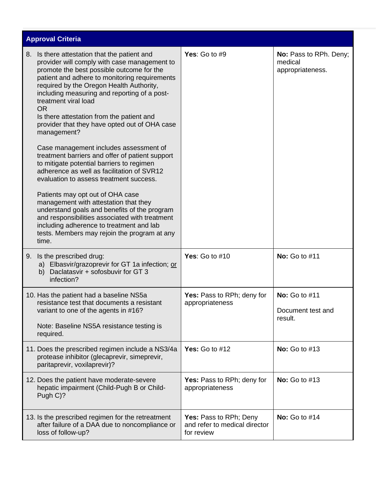| <b>Approval Criteria</b>                                                                                                                                                                                                                                                                                                                                                                                                                                                                                                                                                                                                                                                                                                                                                                                                                                                                                                                                           |                                                                       |                                                       |
|--------------------------------------------------------------------------------------------------------------------------------------------------------------------------------------------------------------------------------------------------------------------------------------------------------------------------------------------------------------------------------------------------------------------------------------------------------------------------------------------------------------------------------------------------------------------------------------------------------------------------------------------------------------------------------------------------------------------------------------------------------------------------------------------------------------------------------------------------------------------------------------------------------------------------------------------------------------------|-----------------------------------------------------------------------|-------------------------------------------------------|
| Is there attestation that the patient and<br>8.<br>provider will comply with case management to<br>promote the best possible outcome for the<br>patient and adhere to monitoring requirements<br>required by the Oregon Health Authority,<br>including measuring and reporting of a post-<br>treatment viral load<br><b>OR</b><br>Is there attestation from the patient and<br>provider that they have opted out of OHA case<br>management?<br>Case management includes assessment of<br>treatment barriers and offer of patient support<br>to mitigate potential barriers to regimen<br>adherence as well as facilitation of SVR12<br>evaluation to assess treatment success.<br>Patients may opt out of OHA case<br>management with attestation that they<br>understand goals and benefits of the program<br>and responsibilities associated with treatment<br>including adherence to treatment and lab<br>tests. Members may rejoin the program at any<br>time. | Yes: Go to $#9$                                                       | No: Pass to RPh. Deny;<br>medical<br>appropriateness. |
| 9. Is the prescribed drug:<br>a) Elbasvir/grazoprevir for GT 1a infection; or<br>Daclatasvir + sofosbuvir for GT 3<br>b)<br>infection?                                                                                                                                                                                                                                                                                                                                                                                                                                                                                                                                                                                                                                                                                                                                                                                                                             | Yes: Go to $#10$                                                      | <b>No:</b> Go to #11                                  |
| 10. Has the patient had a baseline NS5a<br>resistance test that documents a resistant<br>variant to one of the agents in #16?<br>Note: Baseline NS5A resistance testing is<br>required.                                                                                                                                                                                                                                                                                                                                                                                                                                                                                                                                                                                                                                                                                                                                                                            | Yes: Pass to RPh; deny for<br>appropriateness                         | <b>No:</b> Go to #11<br>Document test and<br>result.  |
| 11. Does the prescribed regimen include a NS3/4a<br>protease inhibitor (glecaprevir, simeprevir,<br>paritaprevir, voxilaprevir)?                                                                                                                                                                                                                                                                                                                                                                                                                                                                                                                                                                                                                                                                                                                                                                                                                                   | Yes: Go to $#12$                                                      | <b>No:</b> Go to #13                                  |
| 12. Does the patient have moderate-severe<br>hepatic impairment (Child-Pugh B or Child-<br>Pugh C)?                                                                                                                                                                                                                                                                                                                                                                                                                                                                                                                                                                                                                                                                                                                                                                                                                                                                | Yes: Pass to RPh; deny for<br>appropriateness                         | <b>No:</b> Go to #13                                  |
| 13. Is the prescribed regimen for the retreatment<br>after failure of a DAA due to noncompliance or<br>loss of follow-up?                                                                                                                                                                                                                                                                                                                                                                                                                                                                                                                                                                                                                                                                                                                                                                                                                                          | Yes: Pass to RPh; Deny<br>and refer to medical director<br>for review | <b>No:</b> Go to #14                                  |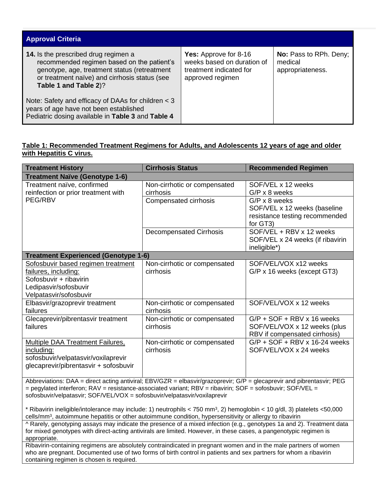| <b>Approval Criteria</b>                                                                                                                                                                                     |                                                                                                           |                                                       |
|--------------------------------------------------------------------------------------------------------------------------------------------------------------------------------------------------------------|-----------------------------------------------------------------------------------------------------------|-------------------------------------------------------|
| 14. Is the prescribed drug regimen a<br>recommended regimen based on the patient's<br>genotype, age, treatment status (retreatment<br>or treatment naïve) and cirrhosis status (see<br>Table 1 and Table 2)? | <b>Yes:</b> Approve for 8-16<br>weeks based on duration of<br>treatment indicated for<br>approved regimen | No: Pass to RPh. Deny;<br>medical<br>appropriateness. |
| Note: Safety and efficacy of DAAs for children $<$ 3<br>years of age have not been established<br>Pediatric dosing available in Table 3 and Table 4                                                          |                                                                                                           |                                                       |

## **Table 1: Recommended Treatment Regimens for Adults, and Adolescents 12 years of age and older with Hepatitis C virus.**

| <b>Treatment History</b>                                                                                                                                                                                                                   | <b>Cirrhosis Status</b>                   | <b>Recommended Regimen</b>                                                                         |
|--------------------------------------------------------------------------------------------------------------------------------------------------------------------------------------------------------------------------------------------|-------------------------------------------|----------------------------------------------------------------------------------------------------|
| <b>Treatment Naïve (Genotype 1-6)</b>                                                                                                                                                                                                      |                                           |                                                                                                    |
| Treatment naïve, confirmed<br>reinfection or prior treatment with                                                                                                                                                                          | Non-cirrhotic or compensated<br>cirrhosis | SOF/VEL x 12 weeks<br>$G/P \times 8$ weeks                                                         |
| PEG/RBV                                                                                                                                                                                                                                    | Compensated cirrhosis                     | $G/P \times 8$ weeks<br>SOF/VEL x 12 weeks (baseline<br>resistance testing recommended<br>for GT3) |
|                                                                                                                                                                                                                                            | <b>Decompensated Cirrhosis</b>            | SOF/VEL + RBV x 12 weeks<br>SOF/VEL x 24 weeks (if ribavirin<br>ineligible*)                       |
| <b>Treatment Experienced (Genotype 1-6)</b>                                                                                                                                                                                                |                                           |                                                                                                    |
| Sofosbuvir based regimen treatment<br>failures, including:<br>Sofosbuvir + ribavirin<br>Ledipasvir/sofosbuvir<br>Velpatasvir/sofosbuvir                                                                                                    | Non-cirrhotic or compensated<br>cirrhosis | SOF/VEL/VOX x12 weeks<br>G/P x 16 weeks (except GT3)                                               |
| Elbasvir/grazoprevir treatment<br>failures                                                                                                                                                                                                 | Non-cirrhotic or compensated<br>cirrhosis | SOF/VEL/VOX x 12 weeks                                                                             |
| Glecaprevir/pibrentasvir treatment<br>failures                                                                                                                                                                                             | Non-cirrhotic or compensated<br>cirrhosis | $G/P$ + SOF + RBV x 16 weeks<br>SOF/VEL/VOX x 12 weeks (plus<br>RBV if compensated cirrhosis)      |
| <b>Multiple DAA Treatment Failures,</b><br>including:<br>sofosbuvir/velpatasvir/voxilaprevir<br>glecaprevir/pibrentasvir + sofosbuvir                                                                                                      | Non-cirrhotic or compensated<br>cirrhosis | $G/P$ + SOF + RBV x 16-24 weeks<br>SOF/VEL/VOX x 24 weeks                                          |
| Abbreviations: DAA = direct acting antiviral; EBV/GZR = elbasvir/grazoprevir; G/P = glecaprevir and pibrentasvir; PEG<br>= pegylated interferon; $RAV =$ resistance-associated variant; $RBV =$ ribavirin; $SOF =$ sofosbuvir; $SOF/VEL =$ |                                           |                                                                                                    |

sofosbuvir/velpatasvir; SOF/VEL/VOX = sofosbuvir/velpatasvir/voxilaprevir

\* Ribavirin ineligible/intolerance may include: 1) neutrophils < 750 mm<sup>3</sup> , 2) hemoglobin < 10 g/dl, 3) platelets <50,000 cells/mm<sup>3</sup>, autoimmune hepatitis or other autoimmune condition, hypersensitivity or allergy to ribavirin

^ Rarely, genotyping assays may indicate the presence of a mixed infection (e.g., genotypes 1a and 2). Treatment data for mixed genotypes with direct-acting antivirals are limited. However, in these cases, a pangenotypic regimen is appropriate.

Ribavirin-containing regimens are absolutely contraindicated in pregnant women and in the male partners of women who are pregnant. Documented use of two forms of birth control in patients and sex partners for whom a ribavirin containing regimen is chosen is required.